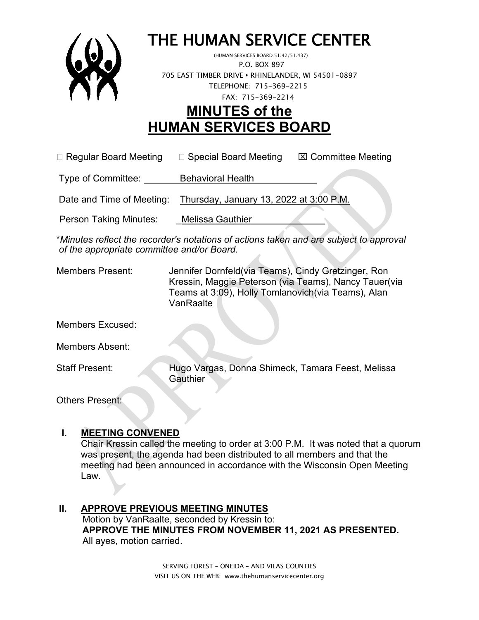

# THE HUMAN SERVICE CENTER (HUMAN SERVICES BOARD 51.42/51.437)

 P.O. BOX 897 705 EAST TIMBER DRIVE **•** RHINELANDER, WI 54501-0897 TELEPHONE: 715-369-2215 FAX: 715-369-2214

# **MINUTES of the HUMAN SERVICES BOARD**

 $\Box$  Regular Board Meeting  $\Box$  Special Board Meeting  $\Box$  Committee Meeting

Type of Committee: Behavioral Health

Date and Time of Meeting: Thursday, January 13, 2022 at 3:00 P.M.

Person Taking Minutes: Melissa Gauthier

\**Minutes reflect the recorder's notations of actions taken and are subject to approval of the appropriate committee and/or Board.*

Members Present: Jennifer Dornfeld(via Teams), Cindy Gretzinger, Ron Kressin, Maggie Peterson (via Teams), Nancy Tauer(via Teams at 3:09), Holly Tomlanovich(via Teams), Alan VanRaalte

Members Excused:

Members Absent:

Staff Present: Hugo Vargas, Donna Shimeck, Tamara Feest, Melissa **Gauthier** 

Others Present:

#### **I. MEETING CONVENED**

Chair Kressin called the meeting to order at 3:00 P.M. It was noted that a quorum was present, the agenda had been distributed to all members and that the meeting had been announced in accordance with the Wisconsin Open Meeting Law.

**II. APPROVE PREVIOUS MEETING MINUTES**  Motion by VanRaalte, seconded by Kressin to:  **APPROVE THE MINUTES FROM NOVEMBER 11, 2021 AS PRESENTED.** All ayes, motion carried.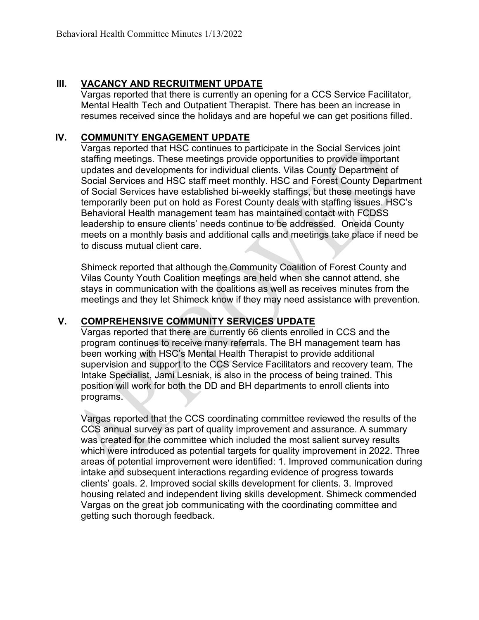#### **III. VACANCY AND RECRUITMENT UPDATE**

Vargas reported that there is currently an opening for a CCS Service Facilitator, Mental Health Tech and Outpatient Therapist. There has been an increase in resumes received since the holidays and are hopeful we can get positions filled.

#### **IV. COMMUNITY ENGAGEMENT UPDATE**

Vargas reported that HSC continues to participate in the Social Services joint staffing meetings. These meetings provide opportunities to provide important updates and developments for individual clients. Vilas County Department of Social Services and HSC staff meet monthly. HSC and Forest County Department of Social Services have established bi-weekly staffings, but these meetings have temporarily been put on hold as Forest County deals with staffing issues. HSC's Behavioral Health management team has maintained contact with FCDSS leadership to ensure clients' needs continue to be addressed. Oneida County meets on a monthly basis and additional calls and meetings take place if need be to discuss mutual client care.

Shimeck reported that although the Community Coalition of Forest County and Vilas County Youth Coalition meetings are held when she cannot attend, she stays in communication with the coalitions as well as receives minutes from the meetings and they let Shimeck know if they may need assistance with prevention.

#### **V. COMPREHENSIVE COMMUNITY SERVICES UPDATE**

Vargas reported that there are currently 66 clients enrolled in CCS and the program continues to receive many referrals. The BH management team has been working with HSC's Mental Health Therapist to provide additional supervision and support to the CCS Service Facilitators and recovery team. The Intake Specialist, Jami Lesniak, is also in the process of being trained. This position will work for both the DD and BH departments to enroll clients into programs.

Vargas reported that the CCS coordinating committee reviewed the results of the CCS annual survey as part of quality improvement and assurance. A summary was created for the committee which included the most salient survey results which were introduced as potential targets for quality improvement in 2022. Three areas of potential improvement were identified: 1. Improved communication during intake and subsequent interactions regarding evidence of progress towards clients' goals. 2. Improved social skills development for clients. 3. Improved housing related and independent living skills development. Shimeck commended Vargas on the great job communicating with the coordinating committee and getting such thorough feedback.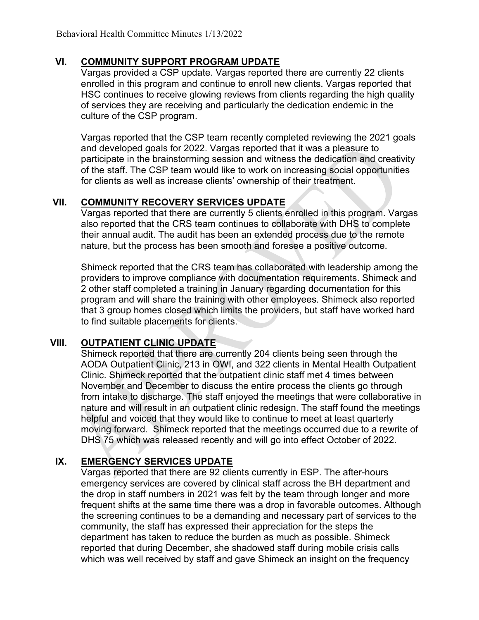#### **VI. COMMUNITY SUPPORT PROGRAM UPDATE**

Vargas provided a CSP update. Vargas reported there are currently 22 clients enrolled in this program and continue to enroll new clients. Vargas reported that HSC continues to receive glowing reviews from clients regarding the high quality of services they are receiving and particularly the dedication endemic in the culture of the CSP program.

Vargas reported that the CSP team recently completed reviewing the 2021 goals and developed goals for 2022. Vargas reported that it was a pleasure to participate in the brainstorming session and witness the dedication and creativity of the staff. The CSP team would like to work on increasing social opportunities for clients as well as increase clients' ownership of their treatment.

### **VII. COMMUNITY RECOVERY SERVICES UPDATE**

Vargas reported that there are currently 5 clients enrolled in this program. Vargas also reported that the CRS team continues to collaborate with DHS to complete their annual audit. The audit has been an extended process due to the remote nature, but the process has been smooth and foresee a positive outcome.

Shimeck reported that the CRS team has collaborated with leadership among the providers to improve compliance with documentation requirements. Shimeck and 2 other staff completed a training in January regarding documentation for this program and will share the training with other employees. Shimeck also reported that 3 group homes closed which limits the providers, but staff have worked hard to find suitable placements for clients.

# **VIII. OUTPATIENT CLINIC UPDATE**

Shimeck reported that there are currently 204 clients being seen through the AODA Outpatient Clinic, 213 in OWI, and 322 clients in Mental Health Outpatient Clinic. Shimeck reported that the outpatient clinic staff met 4 times between November and December to discuss the entire process the clients go through from intake to discharge. The staff enjoyed the meetings that were collaborative in nature and will result in an outpatient clinic redesign. The staff found the meetings helpful and voiced that they would like to continue to meet at least quarterly moving forward. Shimeck reported that the meetings occurred due to a rewrite of DHS 75 which was released recently and will go into effect October of 2022.

# **IX. EMERGENCY SERVICES UPDATE**

Vargas reported that there are 92 clients currently in ESP. The after-hours emergency services are covered by clinical staff across the BH department and the drop in staff numbers in 2021 was felt by the team through longer and more frequent shifts at the same time there was a drop in favorable outcomes. Although the screening continues to be a demanding and necessary part of services to the community, the staff has expressed their appreciation for the steps the department has taken to reduce the burden as much as possible. Shimeck reported that during December, she shadowed staff during mobile crisis calls which was well received by staff and gave Shimeck an insight on the frequency